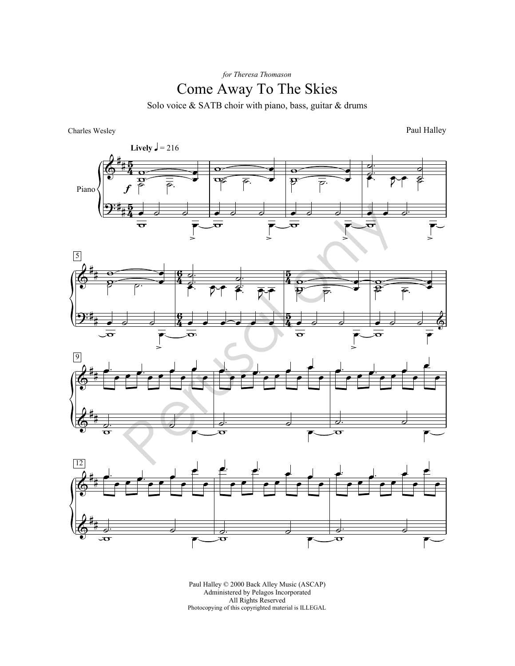*for Theresa Thomason*

## Come Away To The Skies

Solo voice & SATB choir with piano, bass, guitar & drums

Charles Wesley

Paul Halley









Paul Halley © 2000 Back Alley Music (ASCAP) Administered by Pelagos Incorporated All Rights Reserved Photocopying of this copyrighted material is ILLEGAL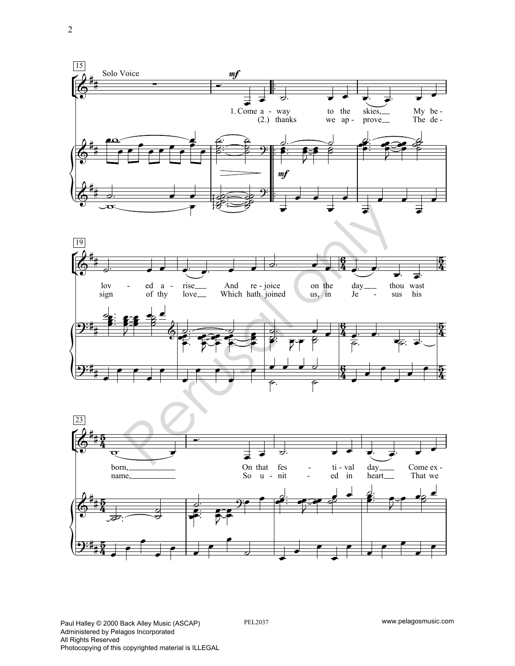





PEL2037